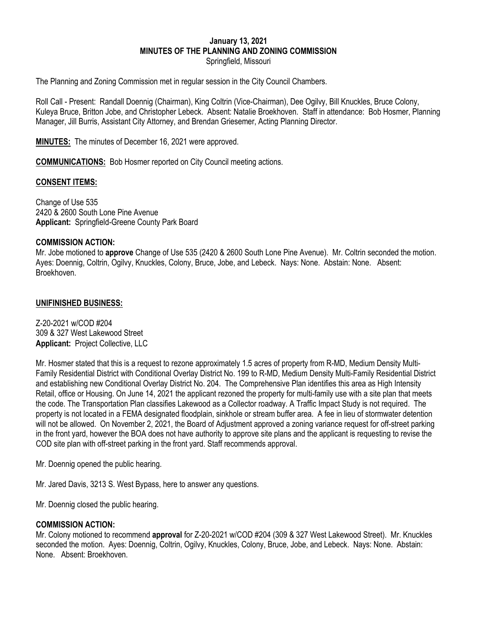# **January 13, 2021 MINUTES OF THE PLANNING AND ZONING COMMISSION**

Springfield, Missouri

The Planning and Zoning Commission met in regular session in the City Council Chambers.

Roll Call - Present: Randall Doennig (Chairman), King Coltrin (Vice-Chairman), Dee Ogilvy, Bill Knuckles, Bruce Colony, Kuleya Bruce, Britton Jobe, and Christopher Lebeck. Absent: Natalie Broekhoven. Staff in attendance: Bob Hosmer, Planning Manager, Jill Burris, Assistant City Attorney, and Brendan Griesemer, Acting Planning Director.

**MINUTES:** The minutes of December 16, 2021 were approved.

**COMMUNICATIONS:** Bob Hosmer reported on City Council meeting actions.

#### **CONSENT ITEMS:**

Change of Use 535 2420 & 2600 South Lone Pine Avenue **Applicant:** Springfield-Greene County Park Board

#### **COMMISSION ACTION:**

Mr. Jobe motioned to **approve** Change of Use 535 (2420 & 2600 South Lone Pine Avenue). Mr. Coltrin seconded the motion. Ayes: Doennig, Coltrin, Ogilvy, Knuckles, Colony, Bruce, Jobe, and Lebeck. Nays: None. Abstain: None. Absent: Broekhoven.

#### **UNIFINISHED BUSINESS:**

Z-20-2021 w/COD #204 309 & 327 West Lakewood Street **Applicant:** Project Collective, LLC

Mr. Hosmer stated that this is a request to rezone approximately 1.5 acres of property from R-MD, Medium Density Multi-Family Residential District with Conditional Overlay District No. 199 to R-MD, Medium Density Multi-Family Residential District and establishing new Conditional Overlay District No. 204. The Comprehensive Plan identifies this area as High Intensity Retail, office or Housing. On June 14, 2021 the applicant rezoned the property for multi-family use with a site plan that meets the code. The Transportation Plan classifies Lakewood as a Collector roadway. A Traffic Impact Study is not required. The property is not located in a FEMA designated floodplain, sinkhole or stream buffer area. A fee in lieu of stormwater detention will not be allowed. On November 2, 2021, the Board of Adjustment approved a zoning variance request for off-street parking in the front yard, however the BOA does not have authority to approve site plans and the applicant is requesting to revise the COD site plan with off-street parking in the front yard. Staff recommends approval.

Mr. Doennig opened the public hearing.

Mr. Jared Davis, 3213 S. West Bypass, here to answer any questions.

Mr. Doennig closed the public hearing.

#### **COMMISSION ACTION:**

Mr. Colony motioned to recommend **approval** for Z-20-2021 w/COD #204 (309 & 327 West Lakewood Street). Mr. Knuckles seconded the motion. Ayes: Doennig, Coltrin, Ogilvy, Knuckles, Colony, Bruce, Jobe, and Lebeck. Nays: None. Abstain: None. Absent: Broekhoven.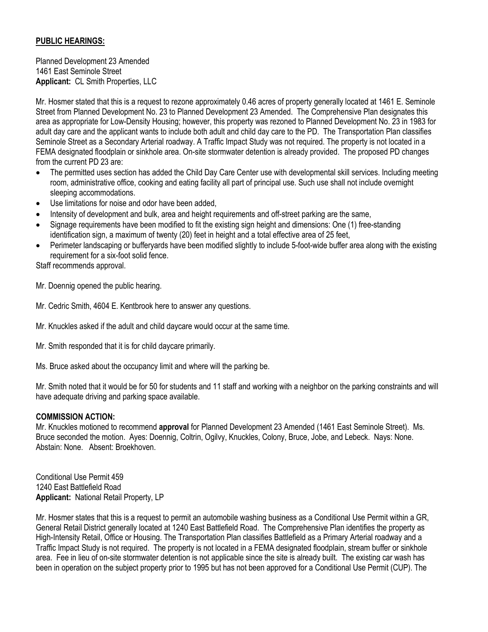# **PUBLIC HEARINGS:**

Planned Development 23 Amended 1461 East Seminole Street **Applicant:** CL Smith Properties, LLC

Mr. Hosmer stated that this is a request to rezone approximately 0.46 acres of property generally located at 1461 E. Seminole Street from Planned Development No. 23 to Planned Development 23 Amended. The Comprehensive Plan designates this area as appropriate for Low-Density Housing; however, this property was rezoned to Planned Development No. 23 in 1983 for adult day care and the applicant wants to include both adult and child day care to the PD. The Transportation Plan classifies Seminole Street as a Secondary Arterial roadway. A Traffic Impact Study was not required. The property is not located in a FEMA designated floodplain or sinkhole area. On-site stormwater detention is already provided. The proposed PD changes from the current PD 23 are:

- The permitted uses section has added the Child Day Care Center use with developmental skill services. Including meeting room, administrative office, cooking and eating facility all part of principal use. Such use shall not include overnight sleeping accommodations.
- Use limitations for noise and odor have been added,
- Intensity of development and bulk, area and height requirements and off-street parking are the same,
- Signage requirements have been modified to fit the existing sign height and dimensions: One (1) free-standing identification sign, a maximum of twenty (20) feet in height and a total effective area of 25 feet,
- Perimeter landscaping or bufferyards have been modified slightly to include 5-foot-wide buffer area along with the existing requirement for a six-foot solid fence.

Staff recommends approval.

Mr. Doennig opened the public hearing.

Mr. Cedric Smith, 4604 E. Kentbrook here to answer any questions.

Mr. Knuckles asked if the adult and child daycare would occur at the same time.

Mr. Smith responded that it is for child daycare primarily.

Ms. Bruce asked about the occupancy limit and where will the parking be.

Mr. Smith noted that it would be for 50 for students and 11 staff and working with a neighbor on the parking constraints and will have adequate driving and parking space available.

## **COMMISSION ACTION:**

Mr. Knuckles motioned to recommend **approval** for Planned Development 23 Amended (1461 East Seminole Street). Ms. Bruce seconded the motion. Ayes: Doennig, Coltrin, Ogilvy, Knuckles, Colony, Bruce, Jobe, and Lebeck. Nays: None. Abstain: None. Absent: Broekhoven.

Conditional Use Permit 459 1240 East Battlefield Road **Applicant:** National Retail Property, LP

Mr. Hosmer states that this is a request to permit an automobile washing business as a Conditional Use Permit within a GR, General Retail District generally located at 1240 East Battlefield Road. The Comprehensive Plan identifies the property as High-Intensity Retail, Office or Housing. The Transportation Plan classifies Battlefield as a Primary Arterial roadway and a Traffic Impact Study is not required. The property is not located in a FEMA designated floodplain, stream buffer or sinkhole area. Fee in lieu of on-site stormwater detention is not applicable since the site is already built. The existing car wash has been in operation on the subject property prior to 1995 but has not been approved for a Conditional Use Permit (CUP). The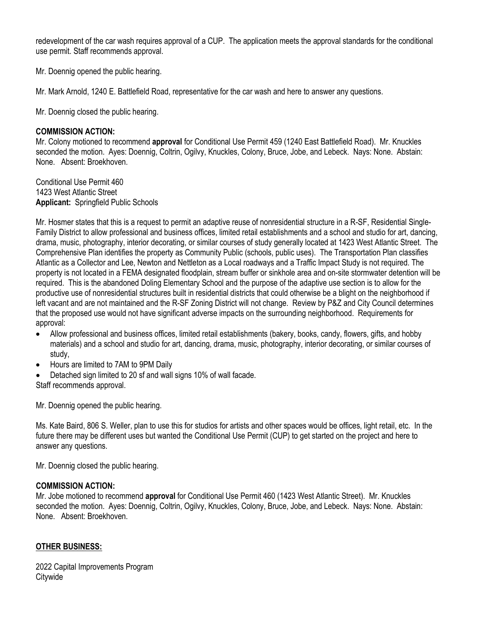redevelopment of the car wash requires approval of a CUP. The application meets the approval standards for the conditional use permit. Staff recommends approval.

Mr. Doennig opened the public hearing.

Mr. Mark Arnold, 1240 E. Battlefield Road, representative for the car wash and here to answer any questions.

Mr. Doennig closed the public hearing.

#### **COMMISSION ACTION:**

Mr. Colony motioned to recommend **approval** for Conditional Use Permit 459 (1240 East Battlefield Road). Mr. Knuckles seconded the motion. Ayes: Doennig, Coltrin, Ogilvy, Knuckles, Colony, Bruce, Jobe, and Lebeck. Nays: None. Abstain: None. Absent: Broekhoven.

Conditional Use Permit 460 1423 West Atlantic Street **Applicant:** Springfield Public Schools

Mr. Hosmer states that this is a request to permit an adaptive reuse of nonresidential structure in a R-SF, Residential Single-Family District to allow professional and business offices, limited retail establishments and a school and studio for art, dancing, drama, music, photography, interior decorating, or similar courses of study generally located at 1423 West Atlantic Street. The Comprehensive Plan identifies the property as Community Public (schools, public uses). The Transportation Plan classifies Atlantic as a Collector and Lee, Newton and Nettleton as a Local roadways and a Traffic Impact Study is not required. The property is not located in a FEMA designated floodplain, stream buffer or sinkhole area and on-site stormwater detention will be required. This is the abandoned Doling Elementary School and the purpose of the adaptive use section is to allow for the productive use of nonresidential structures built in residential districts that could otherwise be a blight on the neighborhood if left vacant and are not maintained and the R-SF Zoning District will not change. Review by P&Z and City Council determines that the proposed use would not have significant adverse impacts on the surrounding neighborhood. Requirements for approval:

- Allow professional and business offices, limited retail establishments (bakery, books, candy, flowers, gifts, and hobby materials) and a school and studio for art, dancing, drama, music, photography, interior decorating, or similar courses of study,
- Hours are limited to 7AM to 9PM Daily
- Detached sign limited to 20 sf and wall signs 10% of wall facade. Staff recommends approval.

Mr. Doennig opened the public hearing.

Ms. Kate Baird, 806 S. Weller, plan to use this for studios for artists and other spaces would be offices, light retail, etc. In the future there may be different uses but wanted the Conditional Use Permit (CUP) to get started on the project and here to answer any questions.

Mr. Doennig closed the public hearing.

#### **COMMISSION ACTION:**

Mr. Jobe motioned to recommend **approval** for Conditional Use Permit 460 (1423 West Atlantic Street). Mr. Knuckles seconded the motion. Ayes: Doennig, Coltrin, Ogilvy, Knuckles, Colony, Bruce, Jobe, and Lebeck. Nays: None. Abstain: None. Absent: Broekhoven.

## **OTHER BUSINESS:**

2022 Capital Improvements Program **Citywide**